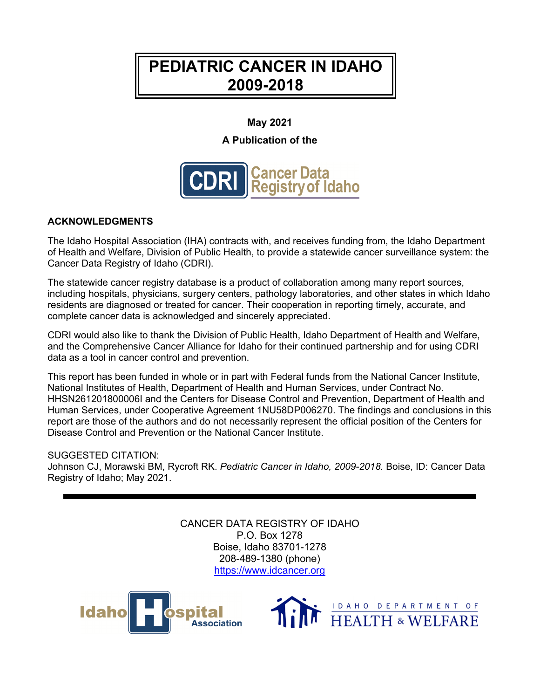# **PEDIATRIC CANCER IN IDAHO 2009-2018**

### **May 2021**

### **A Publication of the**



#### **ACKNOWLEDGMENTS**

The Idaho Hospital Association (IHA) contracts with, and receives funding from, the Idaho Department of Health and Welfare, Division of Public Health, to provide a statewide cancer surveillance system: the Cancer Data Registry of Idaho (CDRI).

The statewide cancer registry database is a product of collaboration among many report sources, including hospitals, physicians, surgery centers, pathology laboratories, and other states in which Idaho residents are diagnosed or treated for cancer. Their cooperation in reporting timely, accurate, and complete cancer data is acknowledged and sincerely appreciated.

CDRI would also like to thank the Division of Public Health, Idaho Department of Health and Welfare, and the Comprehensive Cancer Alliance for Idaho for their continued partnership and for using CDRI data as a tool in cancer control and prevention.

This report has been funded in whole or in part with Federal funds from the National Cancer Institute, National Institutes of Health, Department of Health and Human Services, under Contract No. HHSN261201800006I and the Centers for Disease Control and Prevention, Department of Health and Human Services, under Cooperative Agreement 1NU58DP006270. The findings and conclusions in this report are those of the authors and do not necessarily represent the official position of the Centers for Disease Control and Prevention or the National Cancer Institute.

#### SUGGESTED CITATION:

Johnson CJ, Morawski BM, Rycroft RK. *Pediatric Cancer in Idaho, 2009-2018.* Boise, ID: Cancer Data Registry of Idaho; May 2021.

> CANCER DATA REGISTRY OF IDAHO P.O. Box 1278 Boise, Idaho 83701-1278 208-489-1380 (phone) [https://www.idcancer.org](https://www.idcancer.org/)



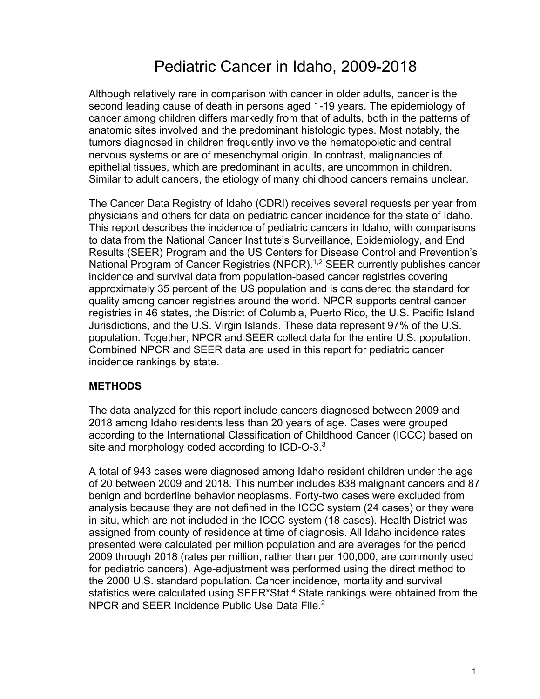# Pediatric Cancer in Idaho, 2009-2018

Although relatively rare in comparison with cancer in older adults, cancer is the second leading cause of death in persons aged 1-19 years. The epidemiology of cancer among children differs markedly from that of adults, both in the patterns of anatomic sites involved and the predominant histologic types. Most notably, the tumors diagnosed in children frequently involve the hematopoietic and central nervous systems or are of mesenchymal origin. In contrast, malignancies of epithelial tissues, which are predominant in adults, are uncommon in children. Similar to adult cancers, the etiology of many childhood cancers remains unclear.

The Cancer Data Registry of Idaho (CDRI) receives several requests per year from physicians and others for data on pediatric cancer incidence for the state of Idaho. This report describes the incidence of pediatric cancers in Idaho, with comparisons to data from the National Cancer Institute's Surveillance, Epidemiology, and End Results (SEER) Program and the US Centers for Disease Control and Prevention's National Program of Cancer Registries (NPCR).<sup>1,2</sup> SEER currently publishes cancer incidence and survival data from population-based cancer registries covering approximately 35 percent of the US population and is considered the standard for quality among cancer registries around the world. NPCR supports central cancer registries in 46 states, the District of Columbia, Puerto Rico, the U.S. Pacific Island Jurisdictions, and the U.S. Virgin Islands. These data represent 97% of the U.S. population. Together, NPCR and SEER collect data for the entire U.S. population. Combined NPCR and SEER data are used in this report for pediatric cancer incidence rankings by state.

#### **METHODS**

The data analyzed for this report include cancers diagnosed between 2009 and 2018 among Idaho residents less than 20 years of age. Cases were grouped according to the International Classification of Childhood Cancer (ICCC) based on site and morphology coded according to ICD-O-3. $3$ 

A total of 943 cases were diagnosed among Idaho resident children under the age of 20 between 2009 and 2018. This number includes 838 malignant cancers and 87 benign and borderline behavior neoplasms. Forty-two cases were excluded from analysis because they are not defined in the ICCC system (24 cases) or they were in situ, which are not included in the ICCC system (18 cases). Health District was assigned from county of residence at time of diagnosis. All Idaho incidence rates presented were calculated per million population and are averages for the period 2009 through 2018 (rates per million, rather than per 100,000, are commonly used for pediatric cancers). Age-adjustment was performed using the direct method to the 2000 U.S. standard population. Cancer incidence, mortality and survival statistics were calculated using SEER\*Stat.<sup>4</sup> State rankings were obtained from the NPCR and SEER Incidence Public Use Data File.2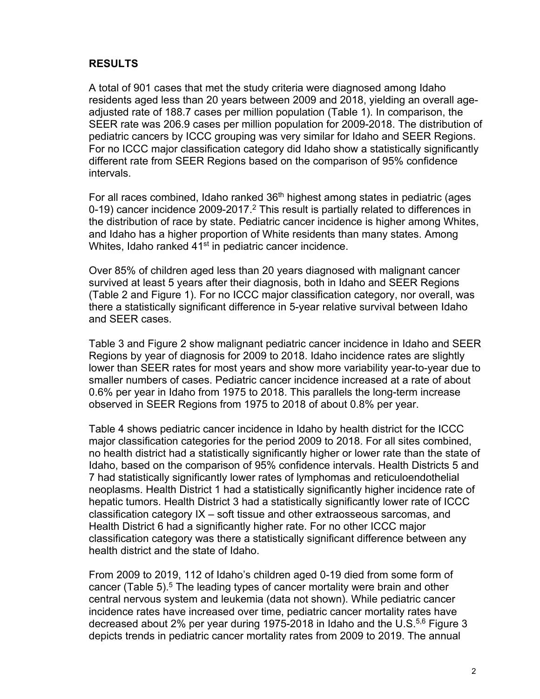## **RESULTS**

A total of 901 cases that met the study criteria were diagnosed among Idaho residents aged less than 20 years between 2009 and 2018, yielding an overall ageadjusted rate of 188.7 cases per million population (Table 1). In comparison, the SEER rate was 206.9 cases per million population for 2009-2018. The distribution of pediatric cancers by ICCC grouping was very similar for Idaho and SEER Regions. For no ICCC major classification category did Idaho show a statistically significantly different rate from SEER Regions based on the comparison of 95% confidence intervals.

Whites, Idaho ranked 41<sup>st</sup> in pediatric cancer incidence. For all races combined, Idaho ranked  $36<sup>th</sup>$  highest among states in pediatric (ages 0-19) cancer incidence 2009-2017.<sup>2</sup> This result is partially related to differences in the distribution of race by state. Pediatric cancer incidence is higher among Whites, and Idaho has a higher proportion of White residents than many states. Among

Over 85% of children aged less than 20 years diagnosed with malignant cancer survived at least 5 years after their diagnosis, both in Idaho and SEER Regions (Table 2 and Figure 1). For no ICCC major classification category, nor overall, was there a statistically significant difference in 5-year relative survival between Idaho and SEER cases.

Table 3 and Figure 2 show malignant pediatric cancer incidence in Idaho and SEER Regions by year of diagnosis for 2009 to 2018. Idaho incidence rates are slightly lower than SEER rates for most years and show more variability year-to-year due to smaller numbers of cases. Pediatric cancer incidence increased at a rate of about 0.6% per year in Idaho from 1975 to 2018. This parallels the long-term increase observed in SEER Regions from 1975 to 2018 of about 0.8% per year.

Table 4 shows pediatric cancer incidence in Idaho by health district for the ICCC major classification categories for the period 2009 to 2018. For all sites combined, no health district had a statistically significantly higher or lower rate than the state of Idaho, based on the comparison of 95% confidence intervals. Health Districts 5 and 7 had statistically significantly lower rates of lymphomas and reticuloendothelial neoplasms. Health District 1 had a statistically significantly higher incidence rate of hepatic tumors. Health District 3 had a statistically significantly lower rate of ICCC classification category IX – soft tissue and other extraosseous sarcomas, and Health District 6 had a significantly higher rate. For no other ICCC major classification category was there a statistically significant difference between any health district and the state of Idaho.

From 2009 to 2019, 112 of Idaho's children aged 0-19 died from some form of cancer (Table 5).<sup>5</sup> The leading types of cancer mortality were brain and other central nervous system and leukemia (data not shown). While pediatric cancer incidence rates have increased over time, pediatric cancer mortality rates have decreased about 2% per year during 1975-2018 in Idaho and the U.S.<sup>5,6</sup> Figure 3 depicts trends in pediatric cancer mortality rates from 2009 to 2019. The annual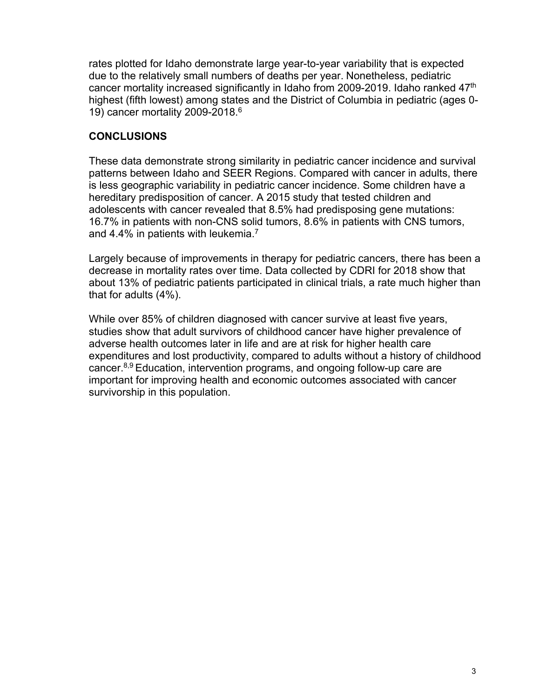rates plotted for Idaho demonstrate large year-to-year variability that is expected due to the relatively small numbers of deaths per year. Nonetheless, pediatric cancer mortality increased significantly in Idaho from 2009-2019. Idaho ranked 47th highest (fifth lowest) among states and the District of Columbia in pediatric (ages 0- 19) cancer mortality 2009-2018.6

# **CONCLUSIONS**

These data demonstrate strong similarity in pediatric cancer incidence and survival patterns between Idaho and SEER Regions. Compared with cancer in adults, there is less geographic variability in pediatric cancer incidence. Some children have a hereditary predisposition of cancer. A 2015 study that tested children and adolescents with cancer revealed that 8.5% had predisposing gene mutations: 16.7% in patients with non-CNS solid tumors, 8.6% in patients with CNS tumors, and 4.4% in patients with leukemia.<sup>7</sup>

Largely because of improvements in therapy for pediatric cancers, there has been a decrease in mortality rates over time. Data collected by CDRI for 2018 show that about 13% of pediatric patients participated in clinical trials, a rate much higher than that for adults (4%).

While over 85% of children diagnosed with cancer survive at least five years, studies show that adult survivors of childhood cancer have higher prevalence of adverse health outcomes later in life and are at risk for higher health care expenditures and lost productivity, compared to adults without a history of childhood cancer.8,9 Education, intervention programs, and ongoing follow-up care are important for improving health and economic outcomes associated with cancer survivorship in this population.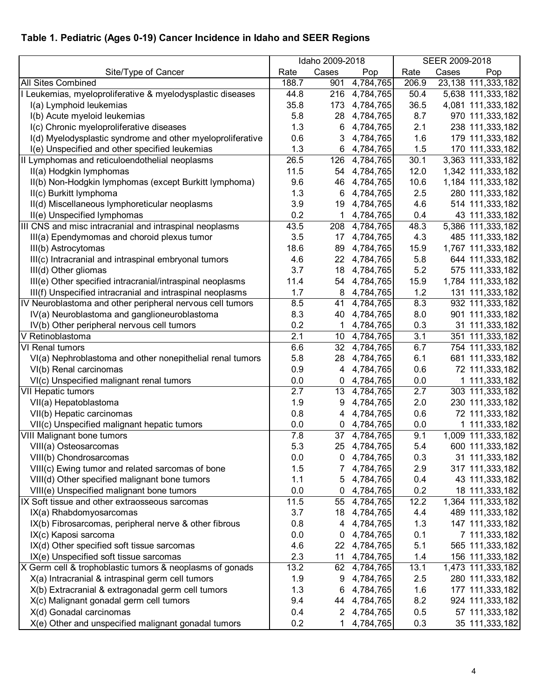# **Table 1. Pediatric (Ages 0-19) Cancer Incidence in Idaho and SEER Regions**

|                                                            | Idaho 2009-2018 |                 |               | SEER 2009-2018 |       |                    |  |
|------------------------------------------------------------|-----------------|-----------------|---------------|----------------|-------|--------------------|--|
| Site/Type of Cancer                                        | Rate            | Cases           | Pop           | Rate           | Cases | Pop                |  |
| <b>All Sites Combined</b>                                  | 188.7           | 901             | 4,784,765     | 206.9          |       | 23,138 111,333,182 |  |
| Leukemias, myeloproliferative & myelodysplastic diseases   | 44.8            |                 | 216 4,784,765 | 50.4           |       | 5,638 111,333,182  |  |
| I(a) Lymphoid leukemias                                    | 35.8            | 173             | 4,784,765     | 36.5           |       | 4,081 111,333,182  |  |
| I(b) Acute myeloid leukemias                               | 5.8             | 28              | 4,784,765     | 8.7            |       | 970 111,333,182    |  |
| I(c) Chronic myeloproliferative diseases                   | 1.3             | 6               | 4,784,765     | 2.1            |       | 238 111,333,182    |  |
| I(d) Myelodysplastic syndrome and other myeloproliferative | 0.6             | 3               | 4,784,765     | 1.6            |       | 179 111,333,182    |  |
| I(e) Unspecified and other specified leukemias             | 1.3             | 6               | 4,784,765     | 1.5            |       | 170 111,333,182    |  |
| II Lymphomas and reticuloendothelial neoplasms             | 26.5            | 126             | 4,784,765     | 30.1           |       | 3,363 111,333,182  |  |
| II(a) Hodgkin lymphomas                                    | 11.5            | 54              | 4,784,765     | 12.0           |       | 1,342 111,333,182  |  |
| II(b) Non-Hodgkin lymphomas (except Burkitt lymphoma)      | 9.6             | 46              | 4,784,765     | 10.6           |       | 1,184 111,333,182  |  |
| II(c) Burkitt lymphoma                                     | 1.3             | 6               | 4,784,765     | 2.5            |       | 280 111,333,182    |  |
| II(d) Miscellaneous lymphoreticular neoplasms              | 3.9             | 19              | 4,784,765     | 4.6            |       | 514 111,333,182    |  |
| II(e) Unspecified lymphomas                                | 0.2             | 1               | 4,784,765     | 0.4            |       | 43 111,333,182     |  |
| III CNS and misc intracranial and intraspinal neoplasms    | 43.5            | 208             | 4,784,765     | 48.3           |       | 5,386 111,333,182  |  |
| III(a) Ependymomas and choroid plexus tumor                | 3.5             | 17              | 4,784,765     | 4.3            |       | 485 111,333,182    |  |
| III(b) Astrocytomas                                        | 18.6            | 89              | 4,784,765     | 15.9           |       | 1,767 111,333,182  |  |
| III(c) Intracranial and intraspinal embryonal tumors       | 4.6             |                 | 22 4,784,765  | 5.8            |       | 644 111,333,182    |  |
| III(d) Other gliomas                                       | 3.7             | 18              | 4,784,765     | 5.2            |       | 575 111,333,182    |  |
| III(e) Other specified intracranial/intraspinal neoplasms  | 11.4            | 54              | 4,784,765     | 15.9           |       | 1,784 111,333,182  |  |
| III(f) Unspecified intracranial and intraspinal neoplasms  | 1.7             | 8               | 4,784,765     | 1.2            |       | 131 111,333,182    |  |
| IV Neuroblastoma and other peripheral nervous cell tumors  | 8.5             | 41              | 4,784,765     | 8.3            |       | 932 111,333,182    |  |
| IV(a) Neuroblastoma and ganglioneuroblastoma               | 8.3             | 40              | 4,784,765     | 8.0            |       | 901 111,333,182    |  |
| IV(b) Other peripheral nervous cell tumors                 | 0.2             | 1.              | 4,784,765     | 0.3            |       | 31 111,333,182     |  |
| V Retinoblastoma                                           | 2.1             | 10 <sup>°</sup> | 4,784,765     | 3.1            |       | 351 111,333,182    |  |
| <b>VI Renal tumors</b>                                     | 6.6             | 32 <sub>2</sub> | 4,784,765     | 6.7            |       | 754 111,333,182    |  |
| VI(a) Nephroblastoma and other nonepithelial renal tumors  | 5.8             | 28              | 4,784,765     | 6.1            |       | 681 111,333,182    |  |
| VI(b) Renal carcinomas                                     | 0.9             | 4               | 4,784,765     | 0.6            |       | 72 111,333,182     |  |
| VI(c) Unspecified malignant renal tumors                   | 0.0             | 0               | 4,784,765     | 0.0            |       | 1 111,333,182      |  |
| <b>VII Hepatic tumors</b>                                  | 2.7             | 13              | 4,784,765     | 2.7            |       | 303 111,333,182    |  |
| VII(a) Hepatoblastoma                                      | 1.9             | 9               | 4,784,765     | 2.0            |       | 230 111,333,182    |  |
| VII(b) Hepatic carcinomas                                  | 0.8             | 4               | 4,784,765     | 0.6            |       | 72 111,333,182     |  |
| VII(c) Unspecified malignant hepatic tumors                | 0.0             | 0               | 4,784,765     | 0.0            |       | 1 111,333,182      |  |
| <b>VIII Malignant bone tumors</b>                          | 7.8             |                 | 37 4,784,765  | 9.1            |       | 1,009 111,333,182  |  |
| VIII(a) Osteosarcomas                                      | 5.3             |                 | 25 4,784,765  | 5.4            |       | 600 111,333,182    |  |
| VIII(b) Chondrosarcomas                                    | 0.0             |                 | 0, 4,784,765  | 0.3            |       | 31 111,333,182     |  |
| VIII(c) Ewing tumor and related sarcomas of bone           | 1.5             |                 | 4,784,765     | 2.9            |       | 317 111,333,182    |  |
| VIII(d) Other specified malignant bone tumors              | 1.1             |                 | 5 4,784,765   | 0.4            |       | 43 111,333,182     |  |
| VIII(e) Unspecified malignant bone tumors                  | 0.0             |                 | $0$ 4,784,765 | 0.2            |       | 18 111,333,182     |  |
| IX Soft tissue and other extraosseous sarcomas             | 11.5            |                 | 55 4,784,765  | 12.2           |       | 1,364 111,333,182  |  |
| IX(a) Rhabdomyosarcomas                                    | 3.7             |                 | 18 4,784,765  | 4.4            |       | 489 111,333,182    |  |
| IX(b) Fibrosarcomas, peripheral nerve & other fibrous      | 0.8             |                 | 4 4,784,765   | 1.3            |       | 147 111,333,182    |  |
| IX(c) Kaposi sarcoma                                       | 0.0             |                 | $0$ 4,784,765 | 0.1            |       | 7 111,333,182      |  |
| IX(d) Other specified soft tissue sarcomas                 | 4.6             |                 | 22 4,784,765  | 5.1            |       | 565 111,333,182    |  |
| IX(e) Unspecified soft tissue sarcomas                     | 2.3             |                 | 11 4,784,765  | 1.4            |       | 156 111,333,182    |  |
| X Germ cell & trophoblastic tumors & neoplasms of gonads   | 13.2            |                 | 62 4,784,765  | 13.1           |       | 1,473 111,333,182  |  |
| X(a) Intracranial & intraspinal germ cell tumors           | 1.9             | 9               | 4,784,765     | 2.5            |       | 280 111,333,182    |  |
| X(b) Extracranial & extragonadal germ cell tumors          | 1.3             | 6               | 4,784,765     | 1.6            |       | 177 111,333,182    |  |
| X(c) Malignant gonadal germ cell tumors                    | 9.4             |                 | 44 4,784,765  | 8.2            |       | 924 111,333,182    |  |
| X(d) Gonadal carcinomas                                    | 0.4             |                 | 2 4,784,765   | 0.5            |       | 57 111,333,182     |  |
| X(e) Other and unspecified malignant gonadal tumors        | 0.2             | 1.              | 4,784,765     | 0.3            |       | 35 111,333,182     |  |
|                                                            |                 |                 |               |                |       |                    |  |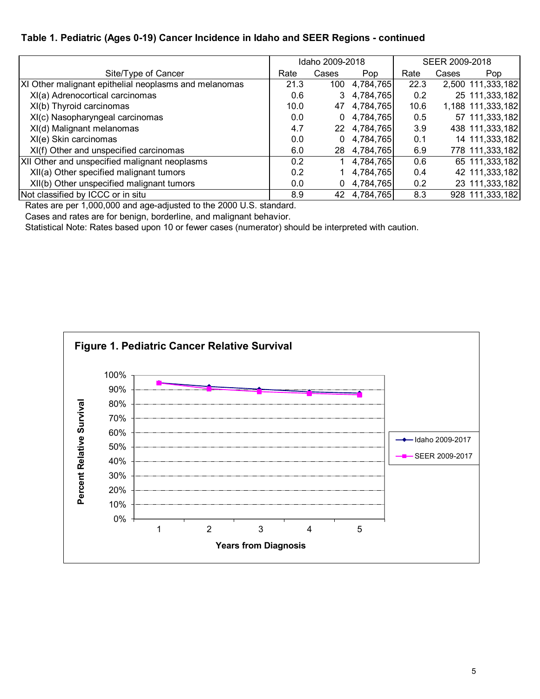#### **Table 1. Pediatric (Ages 0-19) Cancer Incidence in Idaho and SEER Regions - continued**

|                                                       |      | Idaho 2009-2018 |              | SEER 2009-2018 |       |                   |  |
|-------------------------------------------------------|------|-----------------|--------------|----------------|-------|-------------------|--|
| Site/Type of Cancer                                   | Rate | Cases           | Pop          | Rate           | Cases | Pop               |  |
| XI Other malignant epithelial neoplasms and melanomas | 21.3 | 100             | 4,784,765    | 22.3           |       | 2,500 111,333,182 |  |
| XI(a) Adrenocortical carcinomas                       | 0.6  | 3               | 4,784,765    | 0.2            |       | 25 111,333,182    |  |
| XI(b) Thyroid carcinomas                              | 10.0 |                 | 47 4,784,765 | 10.6           |       | 1,188 111,333,182 |  |
| XI(c) Nasopharyngeal carcinomas                       | 0.0  | 0               | 4,784,765    | 0.5            |       | 57 111,333,182    |  |
| XI(d) Malignant melanomas                             | 4.7  |                 | 22 4,784,765 | 3.9            |       | 438 111,333,182   |  |
| XI(e) Skin carcinomas                                 | 0.0  | 0               | 4,784,765    | 0.1            |       | 14 111,333,182    |  |
| XI(f) Other and unspecified carcinomas                | 6.0  |                 | 28 4,784,765 | 6.9            |       | 778 111,333,182   |  |
| XII Other and unspecified malignant neoplasms         | 0.2  |                 | 4,784,765    | 0.6            |       | 65 111,333,182    |  |
| XII(a) Other specified malignant tumors               | 0.2  |                 | 4,784,765    | 0.4            |       | 42 111,333,182    |  |
| XII(b) Other unspecified malignant tumors             | 0.0  | 0               | 4,784,765    | 0.2            |       | 23 111,333,182    |  |
| Not classified by ICCC or in situ                     | 8.9  |                 | 42 4,784,765 | 8.3            |       | 928 111,333,182   |  |

Rates are per 1,000,000 and age-adjusted to the 2000 U.S. standard.

Cases and rates are for benign, borderline, and malignant behavior.

Statistical Note: Rates based upon 10 or fewer cases (numerator) should be interpreted with caution.

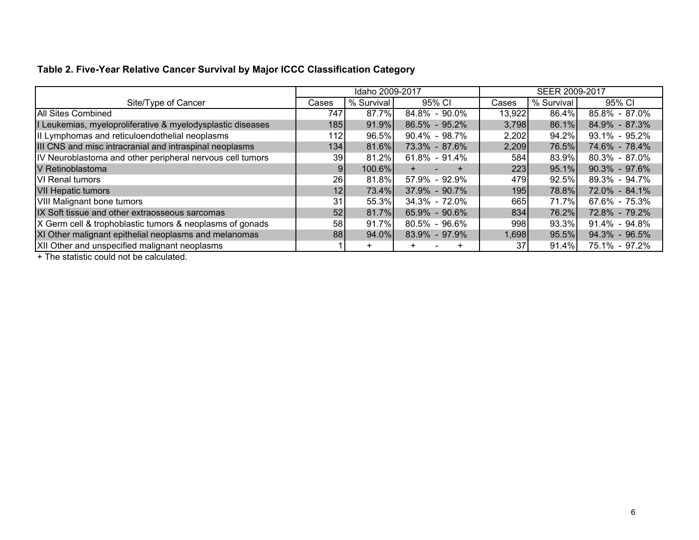# **Table 2. Five-Year Relative Cancer Survival by Major ICCC Classification Category**

|                                                            |                | Idaho 2009-2017 |                   | SEER 2009-2017 |            |                   |  |
|------------------------------------------------------------|----------------|-----------------|-------------------|----------------|------------|-------------------|--|
| Site/Type of Cancer                                        | Cases          | % Survival      | 95% CI            | Cases          | % Survival | 95% CI            |  |
| All Sites Combined                                         | 747            | 87.7%           | 84.8% - 90.0%     | 13,922         | 86.4%      | 85.8% - 87.0%     |  |
| I Leukemias, myeloproliferative & myelodysplastic diseases | 185            | 91.9%           | 86.5% - 95.2%     | 3,798          | 86.1%      | 84.9% - 87.3%     |  |
| II Lymphomas and reticuloendothelial neoplasms             | 1121           | 96.5%           | $90.4\% - 98.7\%$ | 2,202          | 94.2%      | 93.1% - 95.2%     |  |
| III CNS and misc intracranial and intraspinal neoplasms    | 134            | 81.6%           | 73.3% - 87.6%     | 2,209          | 76.5%      | 74.6% - 78.4%     |  |
| IV Neuroblastoma and other peripheral nervous cell tumors  | 39             | 81.2%           | $61.8\% - 91.4\%$ | 584            | 83.9%      | $80.3\% - 87.0\%$ |  |
| V Retinoblastoma                                           | $\overline{9}$ | 100.6%          |                   | 223            | 95.1%      | $90.3\% - 97.6\%$ |  |
| <b>VI</b> Renal tumors                                     | 26             | 81.8%           | 57.9% - 92.9%     | 479            | 92.5%      | 89.3% - 94.7%     |  |
| <b>VII Hepatic tumors</b>                                  | 12             | 73.4%           | 37.9% - 90.7%     | 195            | 78.8%      | 72.0% - 84.1%     |  |
| <b>VIII Malignant bone tumors</b>                          | 31             | 55.3%           | $34.3\% - 72.0\%$ | 665            | 71.7%      | 67.6% - 75.3%     |  |
| IX Soft tissue and other extraosseous sarcomas             | 52             | 81.7%           | 65.9% - 90.6%     | 834            | 76.2%      | 72.8% - 79.2%     |  |
| X Germ cell & trophoblastic tumors & neoplasms of gonads   | 58             | 91.7%           | $80.5\% - 96.6\%$ | 998            | 93.3%      | 91.4% - 94.8%     |  |
| XI Other malignant epithelial neoplasms and melanomas      | 88             | 94.0%           | 83.9% - 97.9%     | 1,698          | 95.5%      | 94.3% - 96.5%     |  |
| XII Other and unspecified malignant neoplasms              |                | ÷               | ÷                 | 37             | 91.4%      | 75.1% - 97.2%     |  |

+ The statistic could not be calculated.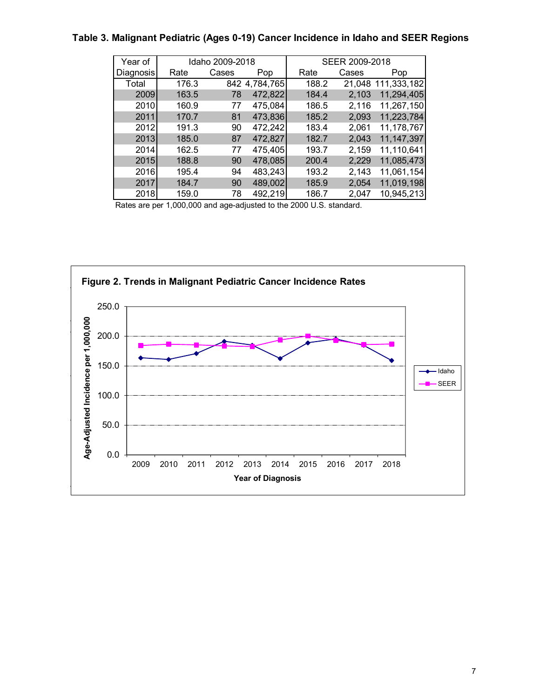### **Table 3. Malignant Pediatric (Ages 0-19) Cancer Incidence in Idaho and SEER Regions**

| Year of   |       | Idaho 2009-2018 |               |       | SEER 2009-2018 |              |
|-----------|-------|-----------------|---------------|-------|----------------|--------------|
| Diagnosis | Rate  | Cases           | Pop           | Rate  | Cases          | Pop          |
| Total     | 176.3 |                 | 842 4,784,765 | 188.2 | 21,048         | 111,333,182  |
| 2009      | 163.5 | 78              | 472,822       | 184.4 | 2,103          | 11,294,405   |
| 2010      | 160.9 | 77              | 475,084       | 186.5 | 2,116          | 11,267,150   |
| 2011      | 170.7 | 81              | 473,836       | 185.2 | 2,093          | 11,223,784   |
| 2012      | 191.3 | 90              | 472,242       | 183.4 | 2,061          | 11,178,767   |
| 2013      | 185.0 | 87              | 472,827       | 182.7 | 2,043          | 11, 147, 397 |
| 2014      | 162.5 | 77              | 475,405       | 193.7 | 2,159          | 11,110,641   |
| 2015      | 188.8 | 90              | 478,085       | 200.4 | 2,229          | 11,085,473   |
| 2016      | 195.4 | 94              | 483,243       | 193.2 | 2,143          | 11,061,154   |
| 2017      | 184.7 | 90              | 489,002       | 185.9 | 2,054          | 11,019,198   |
| 2018      | 159.0 | 78              | 492,219       | 186.7 | 2.047          | 10,945,213   |

Rates are per 1,000,000 and age-adjusted to the 2000 U.S. standard.

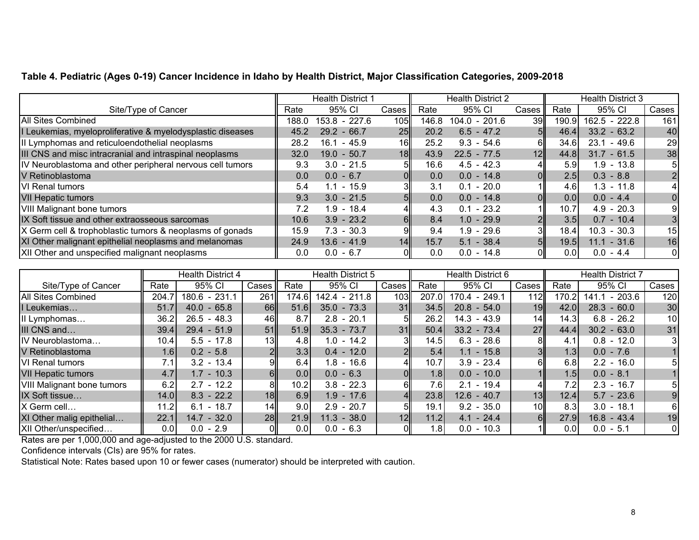#### **Table 4. Pediatric (Ages 0-19) Cancer Incidence in Idaho by Health District, Major Classification Categories, 2009-2018**

|                                                            | <b>Health District 1</b> |                 | <b>Health District 2</b> |       |                 | <b>Health District 3</b> |       |                |                |
|------------------------------------------------------------|--------------------------|-----------------|--------------------------|-------|-----------------|--------------------------|-------|----------------|----------------|
| Site/Type of Cancer                                        | Rate                     | 95% CI          | Cases                    | Rate  | 95% CI          | Cases                    | Rate  | 95% CI         | Cases          |
| <b>All Sites Combined</b>                                  | 188.0                    | 153.8 - 227.6   | 105                      | 146.8 | $104.0 - 201.6$ | 39 <sub>l</sub>          | 190.9 | 162.5 - 222.8  | 161            |
| I Leukemias, myeloproliferative & myelodysplastic diseases | 45.2                     | $29.2 - 66.7$   | 25                       | 20.2  | $6.5 - 47.2$    | 5II                      | 46.4  | $33.2 - 63.2$  | 40             |
| II Lymphomas and reticuloendothelial neoplasms             | 28.2                     | $-45.9$<br>16.1 | 16                       | 25.2  | $9.3 - 54.6$    | 61                       | 34.6  | - 49.6<br>23.1 | 29             |
| III CNS and misc intracranial and intraspinal neoplasms    | 32.0                     | $19.0 - 50.7$   | 18                       | 43.9  | $22.5 - 77.5$   | 12                       | 44.8  | $31.7 - 61.5$  | 38             |
| IV Neuroblastoma and other peripheral nervous cell tumors  | 9.3                      | $3.0 - 21.5$    | 5ΙΙ                      | 16.6  | $4.5 - 42.3$    | 4∥                       | 5.9   | 1.9 - 13.8     | 5              |
| V Retinoblastoma                                           | 0.0                      | $0.0 - 6.7$     | ΟII                      | 0.0   | $0.0 - 14.8$    | $\overline{\mathsf{O}}$  | 2.5   | $0.3 - 8.8$    | $\overline{2}$ |
| <b>VI</b> Renal tumors                                     | 5.4                      | $1.1 - 15.9$    |                          | 3.1   | $0.1 - 20.0$    | 1                        | 4.6   | $1.3 - 11.8$   | $\vert$        |
| <b>VII Hepatic tumors</b>                                  | 9.3                      | $3.0 - 21.5$    | 5ll                      | 0.0   | $0.0 - 14.8$    | $\overline{\mathsf{O}}$  | 0.0   | $0.0 - 4.4$    | $\overline{0}$ |
| <b>VIII Malignant bone tumors</b>                          | 7.2                      | $1.9 - 18.4$    |                          | 4.3   | $0.1 - 23.2$    | 1                        | 10.7  | $4.9 - 20.3$   | 9              |
| IX Soft tissue and other extraosseous sarcomas             | 10.6                     | $3.9 - 23.2$    | 6II                      | 8.4   | $1.0 - 29.9$    | 2 <sup>  </sup>          | 3.5   | $0.7 - 10.4$   | 3 <sup>1</sup> |
| X Germ cell & trophoblastic tumors & neoplasms of gonads   | 15.9                     | $7.3 - 30.3$    |                          | 9.4   | $1.9 - 29.6$    | ЗΙ                       | 18.4  | $10.3 - 30.3$  | 15             |
| XI Other malignant epithelial neoplasms and melanomas      | 24.9                     | $13.6 - 41.9$   | 14                       | 15.7  | $5.1 - 38.4$    | 5                        | 19.5  | $11.1 - 31.6$  | 16             |
| XII Other and unspecified malignant neoplasms              | 0.0                      | $0.0 - 6.7$     |                          | 0.0   | $0.0 - 14.8$    |                          | 0.01  | $0.0 - 4.4$    | 0              |

|                                   |       | <b>Health District 4</b> |                 | <b>Health District 5</b> |               |                  | Health District 6 |               |                 | <b>Health District 7</b> |                   |                 |  |
|-----------------------------------|-------|--------------------------|-----------------|--------------------------|---------------|------------------|-------------------|---------------|-----------------|--------------------------|-------------------|-----------------|--|
| Site/Type of Cancer               | Rate  | 95% CI                   | Cases           | Rate                     | 95% CI        | Cases            | Rate              | 95% CI        | Cases II        | Rate                     | 95% CI            | Cases           |  |
| <b>All Sites Combined</b>         | 204.7 | 180.6 - 231.1            | 261             | 174.6                    | 142.4 - 211.8 | 103 <sub>l</sub> | 207.0             | 170.4 - 249.1 | 112             | 170.2                    | $-203.6$<br>141.1 | 120             |  |
| I Leukemias                       | 51.7  | $40.0 - 65.8$            | 66              | 51.6                     | $35.0 - 73.3$ | 31               | 34.5              | $20.8 - 54.0$ | 19              | 42.0                     | $28.3 - 60.0$     | 30              |  |
| II Lymphomas                      | 36.2  | $26.5 - 48.3$            | 46              | 8.7                      | $2.8 - 20.1$  |                  | 26.2              | $14.3 - 43.9$ | 14              | 14.3                     | $6.8 - 26.2$      | 10 <sub>l</sub> |  |
| III CNS and                       | 39.4  | $29.4 - 51.9$            | 51              | 51.9                     | $35.3 - 73.7$ | 31               | 50.4              | $33.2 - 73.4$ | 27 <sup>1</sup> | 44.4                     | $30.2 - 63.0$     | 31              |  |
| IV Neuroblastoma                  | 10.4  | $5.5 - 17.8$             | 13              | 4.8                      | $1.0 - 14.2$  | ЗI               | 14.5              | $6.3 - 28.6$  |                 | 4.1                      | $0.8 - 12.0$      | 31              |  |
| V Retinoblastoma                  | 1.6   | $0.2 - 5.8$              |                 | 3.3                      | $0.4 - 12.0$  |                  | 5.4               | $1.1 - 15.8$  |                 | 1.3                      | $0.0 - 7.6$       |                 |  |
| VI Renal tumors                   | 7.1   | $3.2 - 13.4$             |                 | 6.4                      | $1.8 - 16.6$  | 4ll              | 10.7              | $3.9 - 23.4$  | 61              | 6.8                      | $2.2 - 16.0$      | 5               |  |
| <b>VII Hepatic tumors</b>         | 4.7   | $1.7 - 10.3$             | 61              | 0.0                      | $0.0 - 6.3$   |                  | 1.8               | $0.0 - 10.0$  |                 | 1.5                      | $0.0 - 8.1$       |                 |  |
| <b>VIII Malignant bone tumors</b> | 6.2   | $2.7 - 12.2$             | 8               | 10.2                     | $3.8 - 22.3$  |                  | 7.6               | $2.1 - 19.4$  |                 | 7.2                      | $2.3 - 16.7$      | 51              |  |
| IX Soft tissue                    | 14.0  | $8.3 - 22.2$             | 18              | 6.9                      | $1.9 - 17.6$  | 4ll              | 23.8              | $12.6 - 40.7$ | 13              | 12.4                     | $5.7 - 23.6$      | 9               |  |
| X Germ cell                       | 11.2  | $6.1 - 18.7$             | 14 <sub>l</sub> | 9.0                      | $2.9 - 20.7$  |                  | 19.1              | $9.2 - 35.0$  | 10I             | 8.3                      | $3.0 - 18.1$      | 61              |  |
| XI Other malig epithelial         | 22.1  | $14.7 - 32.0$            | 28              | 21.9                     | $11.3 - 38.0$ | 12               | 11.2              | $4.1 - 24.4$  | 6II             | 27.9                     | $16.8 - 43.4$     | 19              |  |
| XII Other/unspecified             | 0.0   | $0.0 - 2.9$              |                 | 0.01                     | $0.0 - 6.3$   |                  | 1.8 <sub>1</sub>  | $0.0 - 10.3$  |                 | 0.0                      | $0.0 - 5.1$       | 01              |  |

Rates are per 1,000,000 and age-adjusted to the 2000 U.S. standard.

Confidence intervals (CIs) are 95% for rates.

Statistical Note: Rates based upon 10 or fewer cases (numerator) should be interpreted with caution.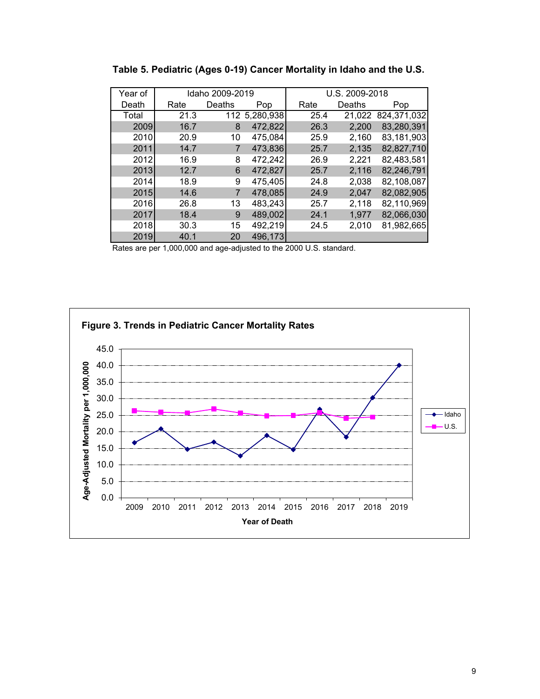| Year of |      | Idaho 2009-2019 |               |      | U.S. 2009-2018 |             |
|---------|------|-----------------|---------------|------|----------------|-------------|
| Death   | Rate | Deaths          | Pop           | Rate | Deaths         | Pop         |
| Total   | 21.3 |                 | 112 5,280,938 | 25.4 | 21,022         | 824,371,032 |
| 2009    | 16.7 | 8               | 472,822       | 26.3 | 2,200          | 83,280,391  |
| 2010    | 20.9 | 10              | 475,084       | 25.9 | 2,160          | 83,181,903  |
| 2011    | 14.7 |                 | 473,836       | 25.7 | 2,135          | 82,827,710  |
| 2012    | 16.9 | 8               | 472,242       | 26.9 | 2,221          | 82,483,581  |
| 2013    | 12.7 | 6               | 472,827       | 25.7 | 2,116          | 82,246,791  |
| 2014    | 18.9 | 9               | 475,405       | 24.8 | 2,038          | 82,108,087  |
| 2015    | 14.6 |                 | 478,085       | 24.9 | 2,047          | 82,082,905  |
| 2016    | 26.8 | 13              | 483,243       | 25.7 | 2,118          | 82,110,969  |
| 2017    | 18.4 | 9               | 489,002       | 24.1 | 1,977          | 82,066,030  |
| 2018    | 30.3 | 15              | 492,219       | 24.5 | 2,010          | 81,982,665  |
| 2019    | 40.1 | 20              | 496.173       |      |                |             |

**Table 5. Pediatric (Ages 0-19) Cancer Mortality in Idaho and the U.S.** 

Rates are per 1,000,000 and age-adjusted to the 2000 U.S. standard.